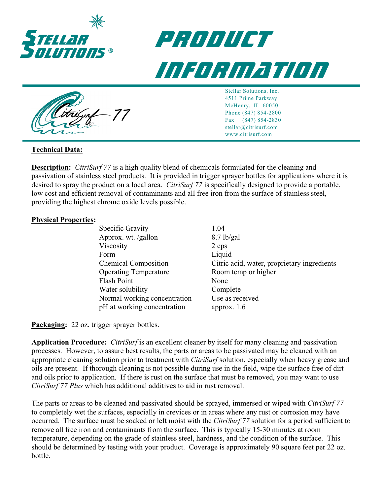

## *product information*



Stellar Solutions, Inc. 4511 Prime Parkway McHenry, IL 60050 Phone (847) 854-2800 Fax (847) 854-2830 stellar@citrisurf.com www.citrisurf.com

## **Technical Data:**

**Description:** *CitriSurf 77* is a high quality blend of chemicals formulated for the cleaning and passivation of stainless steel products. It is provided in trigger sprayer bottles for applications where it is desired to spray the product on a local area. *CitriSurf 77* is specifically designed to provide a portable, low cost and efficient removal of contaminants and all free iron from the surface of stainless steel, providing the highest chrome oxide levels possible.

## **Physical Properties:**

| Specific Gravity             | 1.04                                        |
|------------------------------|---------------------------------------------|
| Approx. wt. /gallon          | $8.7$ lb/gal                                |
| Viscosity                    | 2 cps                                       |
| Form                         | Liquid                                      |
| <b>Chemical Composition</b>  | Citric acid, water, proprietary ingredients |
| <b>Operating Temperature</b> | Room temp or higher                         |
| Flash Point                  | None                                        |
| Water solubility             | Complete                                    |
| Normal working concentration | Use as received                             |
| pH at working concentration  | approx. $1.6$                               |
|                              |                                             |

**Packaging:** 22 oz. trigger sprayer bottles.

**Application Procedure:** *CitriSurf* is an excellent cleaner by itself for many cleaning and passivation processes. However, to assure best results, the parts or areas to be passivated may be cleaned with an appropriate cleaning solution prior to treatment with *CitriSurf* solution, especially when heavy grease and oils are present. If thorough cleaning is not possible during use in the field, wipe the surface free of dirt and oils prior to application. If there is rust on the surface that must be removed, you may want to use *CitriSurf 77 Plus* which has additional additives to aid in rust removal.

The parts or areas to be cleaned and passivated should be sprayed, immersed or wiped with *CitriSurf 77* to completely wet the surfaces, especially in crevices or in areas where any rust or corrosion may have occurred. The surface must be soaked or left moist with the *CitriSurf 77* solution for a period sufficient to remove all free iron and contaminants from the surface. This is typically 15-30 minutes at room temperature, depending on the grade of stainless steel, hardness, and the condition of the surface. This should be determined by testing with your product. Coverage is approximately 90 square feet per 22 oz. bottle.